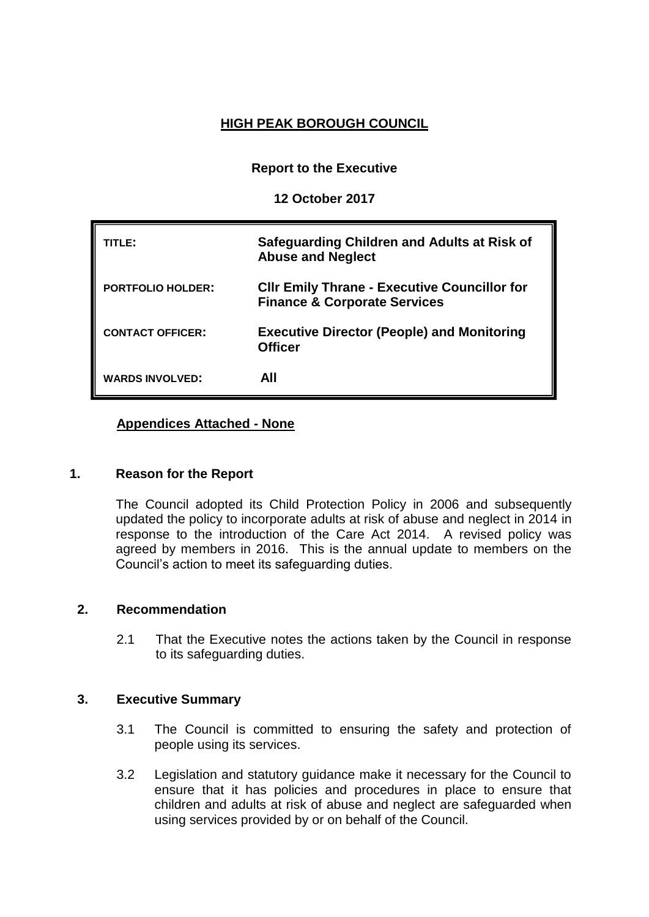# **HIGH PEAK BOROUGH COUNCIL**

**Report to the Executive**

**12 October 2017**

| TITLE:                   | Safeguarding Children and Adults at Risk of<br><b>Abuse and Neglect</b>                        |
|--------------------------|------------------------------------------------------------------------------------------------|
| <b>PORTFOLIO HOLDER:</b> | <b>CIIr Emily Thrane - Executive Councillor for</b><br><b>Finance &amp; Corporate Services</b> |
| <b>CONTACT OFFICER:</b>  | <b>Executive Director (People) and Monitoring</b><br><b>Officer</b>                            |
| <b>WARDS INVOLVED:</b>   | AII                                                                                            |

## **Appendices Attached - None**

### **1. Reason for the Report**

The Council adopted its Child Protection Policy in 2006 and subsequently updated the policy to incorporate adults at risk of abuse and neglect in 2014 in response to the introduction of the Care Act 2014. A revised policy was agreed by members in 2016. This is the annual update to members on the Council's action to meet its safeguarding duties.

### **2. Recommendation**

2.1 That the Executive notes the actions taken by the Council in response to its safeguarding duties.

### **3. Executive Summary**

- 3.1 The Council is committed to ensuring the safety and protection of people using its services.
- 3.2 Legislation and statutory guidance make it necessary for the Council to ensure that it has policies and procedures in place to ensure that children and adults at risk of abuse and neglect are safeguarded when using services provided by or on behalf of the Council.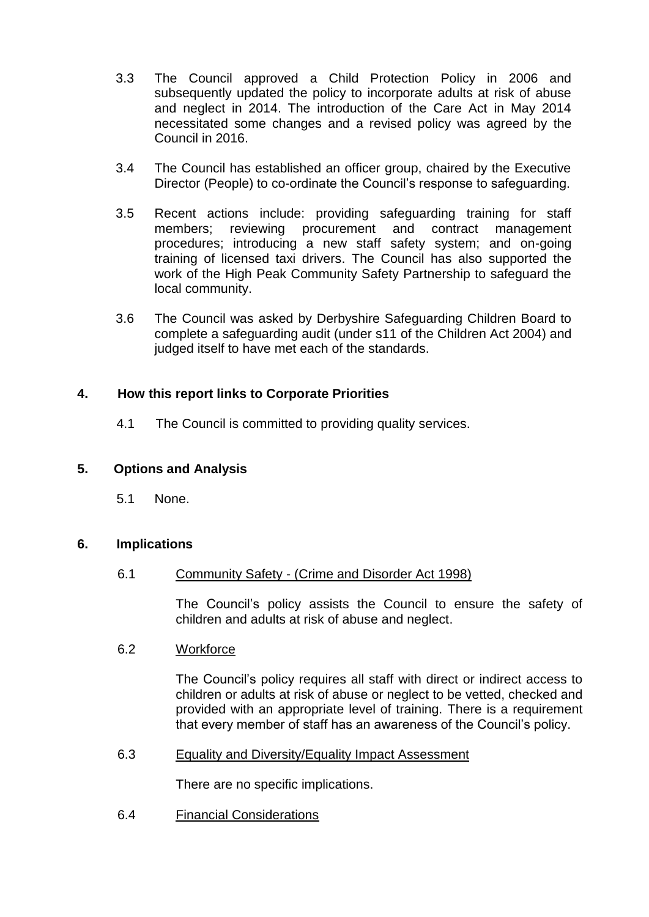- 3.3 The Council approved a Child Protection Policy in 2006 and subsequently updated the policy to incorporate adults at risk of abuse and neglect in 2014. The introduction of the Care Act in May 2014 necessitated some changes and a revised policy was agreed by the Council in 2016.
- 3.4 The Council has established an officer group, chaired by the Executive Director (People) to co-ordinate the Council's response to safeguarding.
- 3.5 Recent actions include: providing safeguarding training for staff members; reviewing procurement and contract management procedures; introducing a new staff safety system; and on-going training of licensed taxi drivers. The Council has also supported the work of the High Peak Community Safety Partnership to safeguard the local community.
- 3.6 The Council was asked by Derbyshire Safeguarding Children Board to complete a safeguarding audit (under s11 of the Children Act 2004) and judged itself to have met each of the standards.

## **4. How this report links to Corporate Priorities**

4.1 The Council is committed to providing quality services.

## **5. Options and Analysis**

5.1 None.

### **6. Implications**

### 6.1 Community Safety - (Crime and Disorder Act 1998)

The Council's policy assists the Council to ensure the safety of children and adults at risk of abuse and neglect.

### 6.2 Workforce

The Council's policy requires all staff with direct or indirect access to children or adults at risk of abuse or neglect to be vetted, checked and provided with an appropriate level of training. There is a requirement that every member of staff has an awareness of the Council's policy.

### 6.3 Equality and Diversity/Equality Impact Assessment

There are no specific implications.

6.4 Financial Considerations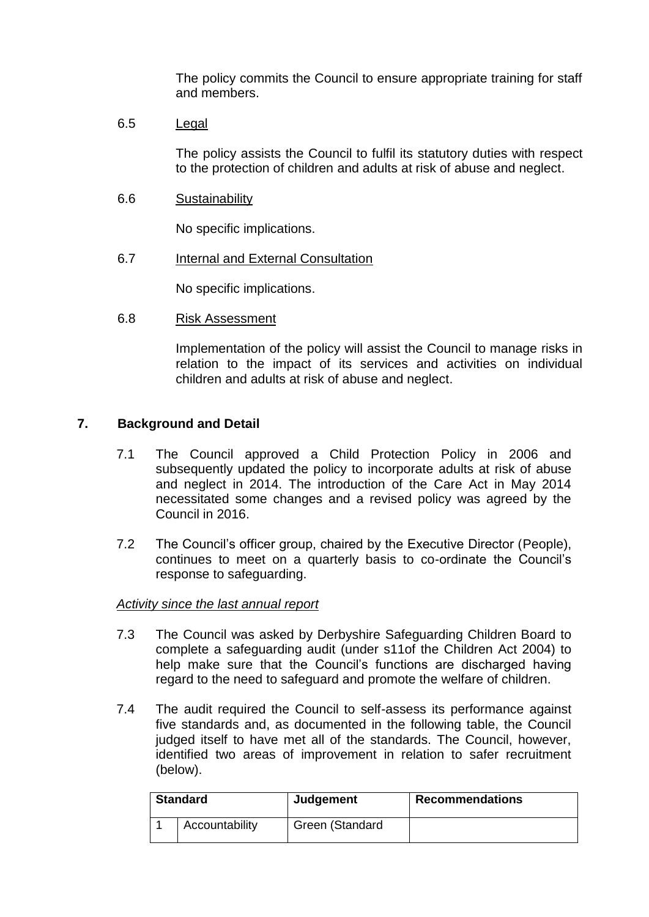The policy commits the Council to ensure appropriate training for staff and members.

6.5 Legal

The policy assists the Council to fulfil its statutory duties with respect to the protection of children and adults at risk of abuse and neglect.

6.6 Sustainability

No specific implications.

6.7 Internal and External Consultation

No specific implications.

6.8 Risk Assessment

Implementation of the policy will assist the Council to manage risks in relation to the impact of its services and activities on individual children and adults at risk of abuse and neglect.

#### **7. Background and Detail**

- 7.1 The Council approved a Child Protection Policy in 2006 and subsequently updated the policy to incorporate adults at risk of abuse and neglect in 2014. The introduction of the Care Act in May 2014 necessitated some changes and a revised policy was agreed by the Council in 2016.
- 7.2 The Council's officer group, chaired by the Executive Director (People), continues to meet on a quarterly basis to co-ordinate the Council's response to safeguarding.

#### *Activity since the last annual report*

- 7.3 The Council was asked by Derbyshire Safeguarding Children Board to complete a safeguarding audit (under s11of the Children Act 2004) to help make sure that the Council's functions are discharged having regard to the need to safeguard and promote the welfare of children.
- 7.4 The audit required the Council to self-assess its performance against five standards and, as documented in the following table, the Council judged itself to have met all of the standards. The Council, however, identified two areas of improvement in relation to safer recruitment (below).

| <b>Standard</b> | <b>Judgement</b> | <b>Recommendations</b> |
|-----------------|------------------|------------------------|
| Accountability  | Green (Standard  |                        |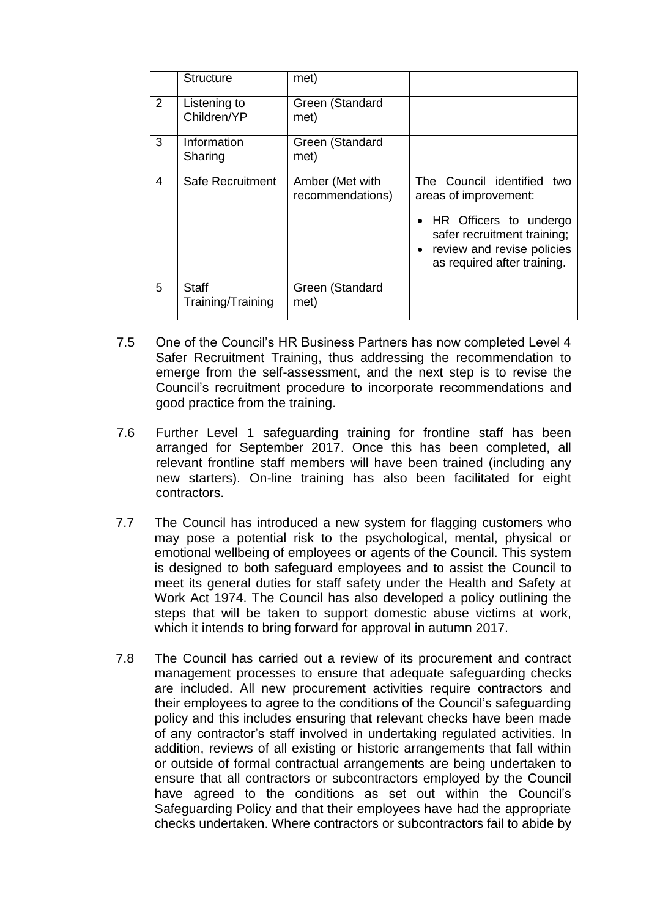|   | <b>Structure</b>                  | met)                                |                                                                                                                                                                                |
|---|-----------------------------------|-------------------------------------|--------------------------------------------------------------------------------------------------------------------------------------------------------------------------------|
| 2 | Listening to<br>Children/YP       | Green (Standard<br>met)             |                                                                                                                                                                                |
| 3 | Information<br>Sharing            | Green (Standard<br>met)             |                                                                                                                                                                                |
| 4 | Safe Recruitment                  | Amber (Met with<br>recommendations) | The Council identified<br>two<br>areas of improvement:<br>HR Officers to undergo<br>safer recruitment training;<br>• review and revise policies<br>as required after training. |
| 5 | <b>Staff</b><br>Training/Training | Green (Standard<br>met)             |                                                                                                                                                                                |

- 7.5 One of the Council's HR Business Partners has now completed Level 4 Safer Recruitment Training, thus addressing the recommendation to emerge from the self-assessment, and the next step is to revise the Council's recruitment procedure to incorporate recommendations and good practice from the training.
- 7.6 Further Level 1 safeguarding training for frontline staff has been arranged for September 2017. Once this has been completed, all relevant frontline staff members will have been trained (including any new starters). On-line training has also been facilitated for eight contractors.
- 7.7 The Council has introduced a new system for flagging customers who may pose a potential risk to the psychological, mental, physical or emotional wellbeing of employees or agents of the Council. This system is designed to both safeguard employees and to assist the Council to meet its general duties for staff safety under the Health and Safety at Work Act 1974. The Council has also developed a policy outlining the steps that will be taken to support domestic abuse victims at work, which it intends to bring forward for approval in autumn 2017.
- 7.8 The Council has carried out a review of its procurement and contract management processes to ensure that adequate safeguarding checks are included. All new procurement activities require contractors and their employees to agree to the conditions of the Council's safeguarding policy and this includes ensuring that relevant checks have been made of any contractor's staff involved in undertaking regulated activities. In addition, reviews of all existing or historic arrangements that fall within or outside of formal contractual arrangements are being undertaken to ensure that all contractors or subcontractors employed by the Council have agreed to the conditions as set out within the Council's Safeguarding Policy and that their employees have had the appropriate checks undertaken. Where contractors or subcontractors fail to abide by